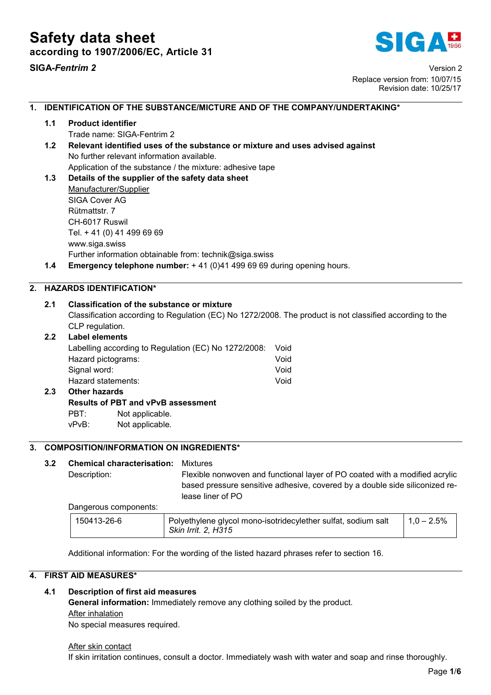

SIGA*-Fentrim 2* Version 2 Replace version from: 10/07/15 Revision date: 10/25/17

## 1. IDENTIFICATION OF THE SUBSTANCE/MICTURE AND OF THE COMPANY/UNDERTAKING\* 1.1 Product identifier Trade name: SIGA-Fentrim 2 1.2 Relevant identified uses of the substance or mixture and uses advised against No further relevant information available. Application of the substance / the mixture: adhesive tape 1.3 Details of the supplier of the safety data sheet Manufacturer/Supplier SIGA Cover AG Rütmattstr. 7 CH-6017 Ruswil Tel. + 41 (0) 41 499 69 69 www.siga.swiss Further information obtainable from: technik@siga.swiss 1.4 Emergency telephone number: +41 (0)41 499 69 69 during opening hours. 2. HAZARDS IDENTIFICATION\* 2.1 Classification of the substance or mixture Classification according to Regulation (EC) No 1272/2008. The product is not classified according to the CLP regulation. 2.2 Label elements Labelling according to Regulation (EC) No 1272/2008: Void Hazard pictograms: Void Signal word: Void Hazard statements: Void 2.3 Other hazards Results of PBT and vPvB assessment PBT: Not applicable. vPvB: Not applicable. 3. COMPOSITION/INFORMATION ON INGREDIENTS\* 3.2 Chemical characterisation: Mixtures

Description: Flexible nonwoven and functional layer of PO coated with a modified acrylic

based pressure sensitive adhesive, covered by a double side siliconized release liner of PO

Dangerous components:

| 150413-26-6 | Polyethylene glycol mono-isotridecylether sulfat, sodium salt | $1.0 - 2.5\%$ |
|-------------|---------------------------------------------------------------|---------------|
|             | Skin Irrit. 2, H315                                           |               |

Additional information: For the wording of the listed hazard phrases refer to section 16.

## 4. FIRST AID MEASURES\*

## 4.1 Description of first aid measures

General information: Immediately remove any clothing soiled by the product. After inhalation No special measures required.

After skin contact

If skin irritation continues, consult a doctor. Immediately wash with water and soap and rinse thoroughly.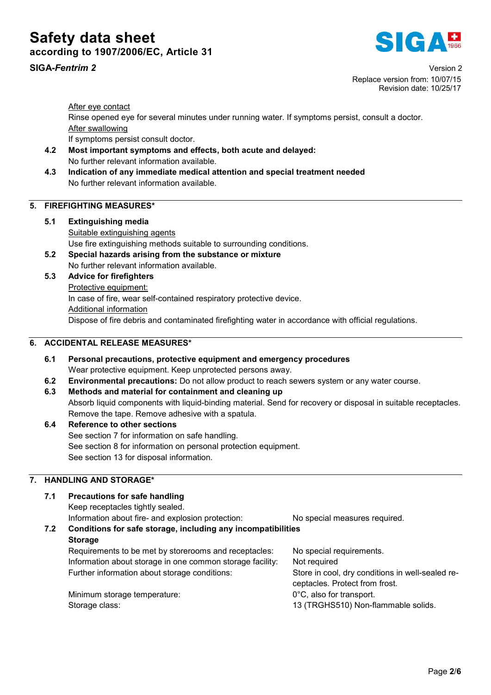# Safety data sheet according to 1907/2006/EC, Article 31



SIGA*-Fentrim 2* Version 2 Replace version from: 10/07/15 Revision date: 10/25/17

After eye contact

Rinse opened eye for several minutes under running water. If symptoms persist, consult a doctor. After swallowing

If symptoms persist consult doctor.

- 4.2 Most important symptoms and effects, both acute and delayed: No further relevant information available.
- 4.3 Indication of any immediate medical attention and special treatment needed No further relevant information available.

## 5. FIREFIGHTING MEASURES\*

- 5.1 Extinguishing media Suitable extinguishing agents Use fire extinguishing methods suitable to surrounding conditions.
- 5.2 Special hazards arising from the substance or mixture No further relevant information available.
- 5.3 Advice for firefighters Protective equipment: In case of fire, wear self-contained respiratory protective device. Additional information Dispose of fire debris and contaminated firefighting water in accordance with official regulations.

## 6. ACCIDENTAL RELEASE MEASURES\*

- 6.1 Personal precautions, protective equipment and emergency procedures Wear protective equipment. Keep unprotected persons away.
- 6.2 Environmental precautions: Do not allow product to reach sewers system or any water course.
- 6.3 Methods and material for containment and cleaning up Absorb liquid components with liquid-binding material. Send for recovery or disposal in suitable receptacles. Remove the tape. Remove adhesive with a spatula.
- 6.4 Reference to other sections See section 7 for information on safe handling. See section 8 for information on personal protection equipment. See section 13 for disposal information.

## 7. HANDLING AND STORAGE\*

## 7.1 Precautions for safe handling

Keep receptacles tightly sealed.

Information about fire- and explosion protection: No special measures required.

## 7.2 Conditions for safe storage, including any incompatibilities **Storage**

Requirements to be met by storerooms and receptacles: No special requirements. Information about storage in one common storage facility: Not required Further information about storage conditions: Store in cool, dry conditions in well-sealed receptacles. Protect from frost. Minimum storage temperature: 0°C, also for transport.

Storage class: 13 (TRGHS510) Non-flammable solids.

Page 2/6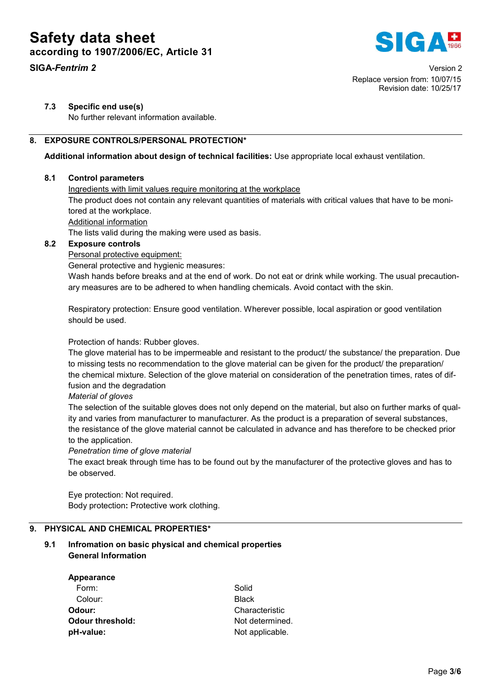# Safety data sheet according to 1907/2006/EC, Article 31





## 7.3 Specific end use(s)

No further relevant information available.

## 8. EXPOSURE CONTROLS/PERSONAL PROTECTION\*

Additional information about design of technical facilities: Use appropriate local exhaust ventilation.

## 8.1 Control parameters

## Ingredients with limit values require monitoring at the workplace

The product does not contain any relevant quantities of materials with critical values that have to be monitored at the workplace.

Additional information

The lists valid during the making were used as basis.

## 8.2 Exposure controls

Personal protective equipment:

General protective and hygienic measures:

Wash hands before breaks and at the end of work. Do not eat or drink while working. The usual precautionary measures are to be adhered to when handling chemicals. Avoid contact with the skin.

Respiratory protection: Ensure good ventilation. Wherever possible, local aspiration or good ventilation should be used.

## Protection of hands: Rubber gloves.

The glove material has to be impermeable and resistant to the product/ the substance/ the preparation. Due to missing tests no recommendation to the glove material can be given for the product/ the preparation/ the chemical mixture. Selection of the glove material on consideration of the penetration times, rates of diffusion and the degradation

#### *Material of gloves*

The selection of the suitable gloves does not only depend on the material, but also on further marks of quality and varies from manufacturer to manufacturer. As the product is a preparation of several substances, the resistance of the glove material cannot be calculated in advance and has therefore to be checked prior to the application.

*Penetration time of glove material*

The exact break through time has to be found out by the manufacturer of the protective gloves and has to be observed.

Eye protection: Not required. Body protection: Protective work clothing.

## 9. PHYSICAL AND CHEMICAL PROPERTIES\*

## 9.1 Infromation on basic physical and chemical properties General Information

| <b>Appearance</b>       |                 |  |
|-------------------------|-----------------|--|
| Form:                   | Solid           |  |
| Colour:                 | <b>Black</b>    |  |
| Odour:                  | Characteristic  |  |
| <b>Odour threshold:</b> | Not determined. |  |
| pH-value:               | Not applicable. |  |
|                         |                 |  |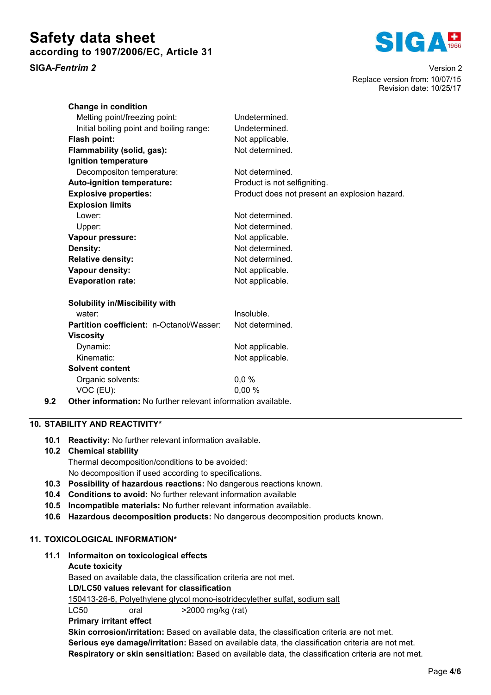# Safety data sheet according to 1907/2006/EC, Article 31



SIGA*-Fentrim 2* Version 2 Replace version from: 10/07/15 Revision date: 10/25/17

| <b>Change in condition</b>               |                                               |
|------------------------------------------|-----------------------------------------------|
| Melting point/freezing point:            | Undetermined.                                 |
| Initial boiling point and boiling range: | Undetermined.                                 |
| Flash point:                             | Not applicable.                               |
| Flammability (solid, gas):               | Not determined.                               |
| Ignition temperature                     |                                               |
| Decompositon temperature:                | Not determined.                               |
| Auto-ignition temperature:               | Product is not selfigniting.                  |
| <b>Explosive properties:</b>             | Product does not present an explosion hazard. |
| <b>Explosion limits</b>                  |                                               |
| Lower:                                   | Not determined.                               |
| Upper:                                   | Not determined.                               |
| Vapour pressure:                         | Not applicable.                               |
| Density:                                 | Not determined.                               |
| <b>Relative density:</b>                 | Not determined.                               |
| Vapour density:                          | Not applicable.                               |
| <b>Evaporation rate:</b>                 | Not applicable.                               |
|                                          |                                               |
| Solubility in/Miscibility with           |                                               |
| water:                                   | Insoluble.                                    |
| Partition coefficient: n-Octanol/Wasser: | Not determined.                               |
| <b>Viscosity</b>                         |                                               |
| Dynamic:                                 | Not applicable.                               |
| Kinematic:                               | Not applicable.                               |
| Solvent content                          |                                               |

- Organic solvents: 0,0 % VOC (EU): 0,00 %
- 9.2 Other information: No further relevant information available.

## 10. STABILITY AND REACTIVITY\*

10.1 Reactivity: No further relevant information available.

## 10.2 Chemical stability

Thermal decomposition/conditions to be avoided:

No decomposition if used according to specifications.

- 10.3 Possibility of hazardous reactions: No dangerous reactions known.
- 10.4 Conditions to avoid: No further relevant information available
- 10.5 Incompatible materials: No further relevant information available.
- 10.6 Hazardous decomposition products: No dangerous decomposition products known.

## 11. TOXICOLOGICAL INFORMATION\*

## 11.1 Informaiton on toxicological effects

## Acute toxicity

Based on available data, the classification criteria are not met.

## LD/LC50 values relevant for classification

150413-26-6, Polyethylene glycol mono-isotridecylether sulfat, sodium salt

LC50 oral >2000 mg/kg (rat)

## Primary irritant effect

Skin corrosion/irritation: Based on available data, the classification criteria are not met. Serious eye damage/irritation: Based on available data, the classification criteria are not met. Respiratory or skin sensitiation: Based on available data, the classification criteria are not met.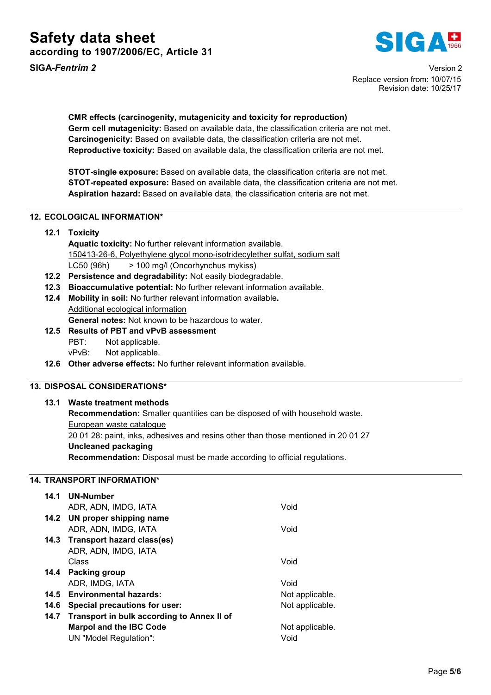

SIGA*-Fentrim 2* Version 2 Replace version from: 10/07/15 Revision date: 10/25/17

CMR effects (carcinogenity, mutagenicity and toxicity for reproduction) Germ cell mutagenicity: Based on available data, the classification criteria are not met. Carcinogenicity: Based on available data, the classification criteria are not met. Reproductive toxicity: Based on available data, the classification criteria are not met.

STOT-single exposure: Based on available data, the classification criteria are not met. STOT-repeated exposure: Based on available data, the classification criteria are not met. Aspiration hazard: Based on available data, the classification criteria are not met.

## 12. ECOLOGICAL INFORMATION\*

## 12.1 Toxicity

- Aquatic toxicity: No further relevant information available. 150413-26-6, Polyethylene glycol mono-isotridecylether sulfat, sodium salt LC50 (96h) > 100 mg/l (Oncorhynchus mykiss)
- 12.2 Persistence and degradability: Not easily biodegradable.
- 12.3 Bioaccumulative potential: No further relevant information available.
- 12.4 Mobility in soil: No further relevant information available. Additional ecological information

General notes: Not known to be hazardous to water.

- 12.5 Results of PBT and vPvB assessment PBT: Not applicable. vPvB: Not applicable.
- 12.6 Other adverse effects: No further relevant information available.

## 13. DISPOSAL CONSIDERATIONS\*

## 13.1 Waste treatment methods

Recommendation: Smaller quantities can be disposed of with household waste.

European waste catalogue

20 01 28: paint, inks, adhesives and resins other than those mentioned in 20 01 27

## Uncleaned packaging

Recommendation: Disposal must be made according to official regulations.

## 14. TRANSPORT INFORMATION\*

| 14.1 | <b>UN-Number</b>                           |                 |
|------|--------------------------------------------|-----------------|
|      | ADR, ADN, IMDG, IATA                       | Void            |
|      | 14.2 UN proper shipping name               |                 |
|      | ADR, ADN, IMDG, IATA                       | Void            |
|      | 14.3 Transport hazard class(es)            |                 |
|      | ADR, ADN, IMDG, IATA                       |                 |
|      | Class                                      | Void            |
|      | 14.4 Packing group                         |                 |
|      | ADR, IMDG, IATA                            | Void            |
| 14.5 | <b>Environmental hazards:</b>              | Not applicable. |
| 14.6 | Special precautions for user:              | Not applicable. |
| 14.7 | Transport in bulk according to Annex II of |                 |
|      | <b>Marpol and the IBC Code</b>             | Not applicable. |
|      | UN "Model Regulation":                     | Void            |
|      |                                            |                 |